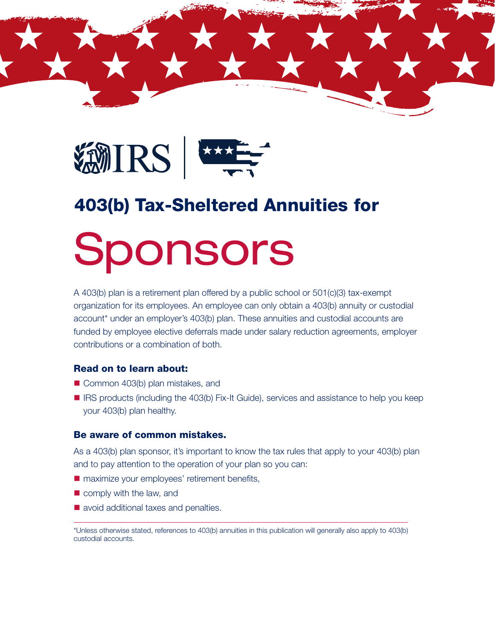



# 403(b) Tax-Sheltered Annuities for Sponsors

A 403(b) plan is a retirement plan offered by a public school or 501(c)(3) tax-exempt organization for its employees. An employee can only obtain a 403(b) annuity or custodial account\* under an employer's 403(b) plan. These annuities and custodial accounts are funded by employee elective deferrals made under salary reduction agreements, employer contributions or a combination of both.

#### Read on to learn about:

- Common 403(b) plan mistakes, and
- **IF** IRS products (including the 403(b) Fix-It Guide), services and assistance to help you keep your 403(b) plan healthy.

#### Be aware of common mistakes.

As a 403(b) plan sponsor, it's important to know the tax rules that apply to your 403(b) plan and to pay attention to the operation of your plan so you can:

- maximize your employees' retirement benefits,
- comply with the law, and
- avoid additional taxes and penalties.

<sup>\*</sup>Unless otherwise stated, references to 403(b) annuities in this publication will generally also apply to 403(b) custodial accounts.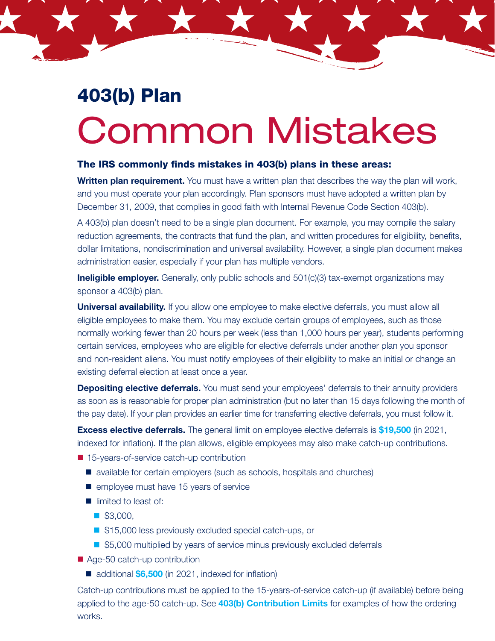## 403(b) Plan Common Mistakes

#### The IRS commonly finds mistakes in 403(b) plans in these areas:

**Written plan requirement.** You must have a written plan that describes the way the plan will work, and you must operate your plan accordingly. Plan sponsors must have adopted a written plan by December 31, 2009, that complies in good faith with Internal Revenue Code Section 403(b).

A 403(b) plan doesn't need to be a single plan document. For example, you may compile the salary reduction agreements, the contracts that fund the plan, and written procedures for eligibility, benefits, dollar limitations, nondiscrimination and universal availability. However, a single plan document makes administration easier, especially if your plan has multiple vendors.

**Ineligible employer.** Generally, only public schools and 501(c)(3) tax-exempt organizations may sponsor a 403(b) plan.

Universal availability. If you allow one employee to make elective deferrals, you must allow all eligible employees to make them. You may exclude certain groups of employees, such as those normally working fewer than 20 hours per week (less than 1,000 hours per year), students performing certain services, employees who are eligible for elective deferrals under another plan you sponsor and non-resident aliens. You must notify employees of their eligibility to make an initial or change an existing deferral election at least once a year.

**Depositing elective deferrals.** You must send your employees' deferrals to their annuity providers as soon as is reasonable for proper plan administration (but no later than 15 days following the month of the pay date). If your plan provides an earlier time for transferring elective deferrals, you must follow it.

**Excess elective deferrals.** The general limit on employee elective deferrals is [\\$19,500](https://www.irs.gov/retirement-plans/cola-increases-for-dollar-limitations-on-benefits-and-contributions) (in 2021, indexed for inflation). If the plan allows, eligible employees may also make catch-up contributions.

- 15-years-of-service catch-up contribution
	- **E** available for certain employers (such as schools, hospitals and churches)
	- $\blacksquare$  employee must have 15 years of service
	- limited to least of:
		- \$3,000,
		- \$15,000 less previously excluded special catch-ups, or
		- \$5,000 multiplied by years of service minus previously excluded deferrals
- Age-50 catch-up contribution
	- additional [\\$6,500](https://www.irs.gov/retirement-plans/cola-increases-for-dollar-limitations-on-benefits-and-contributions) (in 2021, indexed for inflation)

Catch-up contributions must be applied to the 15-years-of-service catch-up (if available) before being applied to the age-50 catch-up. See [403\(b\) Contribution Limits](https://www.irs.gov/retirement-plans/plan-participant-employee/retirement-topics-403b-contribution-limits) for examples of how the ordering works.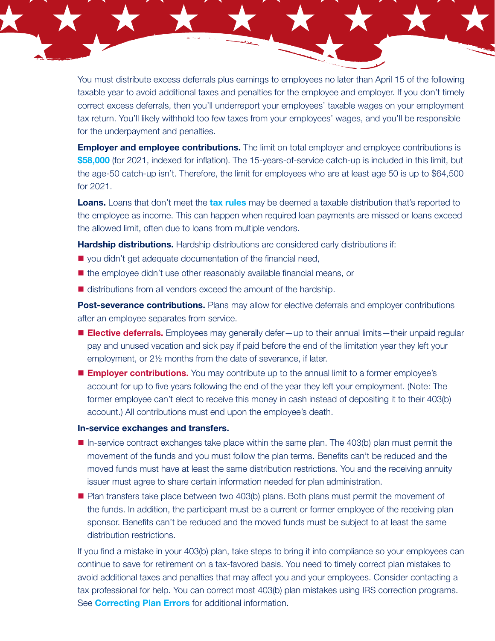You must distribute excess deferrals plus earnings to employees no later than April 15 of the following taxable year to avoid additional taxes and penalties for the employee and employer. If you don't timely correct excess deferrals, then you'll underreport your employees' taxable wages on your employment tax return. You'll likely withhold too few taxes from your employees' wages, and you'll be responsible for the underpayment and penalties.

**Employer and employee contributions.** The limit on total employer and employee contributions is [\\$58,000](https://www.irs.gov/retirement-plans/cola-increases-for-dollar-limitations-on-benefits-and-contributions) (for 2021, indexed for inflation). The 15-years-of-service catch-up is included in this limit, but the age-50 catch-up isn't. Therefore, the limit for employees who are at least age 50 is up to \$64,500 for 2021.

**Loans.** Loans that don't meet the [tax rules](https://www.irs.gov/retirement-plans/plan-participant-employee/retirement-topics-loans) may be deemed a taxable distribution that's reported to the employee as income. This can happen when required loan payments are missed or loans exceed the allowed limit, often due to loans from multiple vendors.

Hardship distributions. Hardship distributions are considered early distributions if:

- vou didn't get adequate documentation of the financial need,
- the employee didn't use other reasonably available financial means, or
- distributions from all vendors exceed the amount of the hardship.

**Post-severance contributions.** Plans may allow for elective deferrals and employer contributions after an employee separates from service.

- **Elective deferrals.** Employees may generally defer—up to their annual limits—their unpaid regular pay and unused vacation and sick pay if paid before the end of the limitation year they left your employment, or 2½ months from the date of severance, if later.
- **Employer contributions.** You may contribute up to the annual limit to a former employee's account for up to five years following the end of the year they left your employment. (Note: The former employee can't elect to receive this money in cash instead of depositing it to their 403(b) account.) All contributions must end upon the employee's death.

#### In-service exchanges and transfers.

- $\blacksquare$  In-service contract exchanges take place within the same plan. The 403(b) plan must permit the movement of the funds and you must follow the plan terms. Benefits can't be reduced and the moved funds must have at least the same distribution restrictions. You and the receiving annuity issuer must agree to share certain information needed for plan administration.
- **Plan transfers take place between two 403(b) plans. Both plans must permit the movement of** the funds. In addition, the participant must be a current or former employee of the receiving plan sponsor. Benefits can't be reduced and the moved funds must be subject to at least the same distribution restrictions.

If you find a mistake in your 403(b) plan, take steps to bring it into compliance so your employees can continue to save for retirement on a tax-favored basis. You need to timely correct plan mistakes to avoid additional taxes and penalties that may affect you and your employees. Consider contacting a tax professional for help. You can correct most 403(b) plan mistakes using IRS correction programs. See **[Correcting Plan Errors](https://www.irs.gov/retirement-plans/correcting-plan-errors)** for additional information.